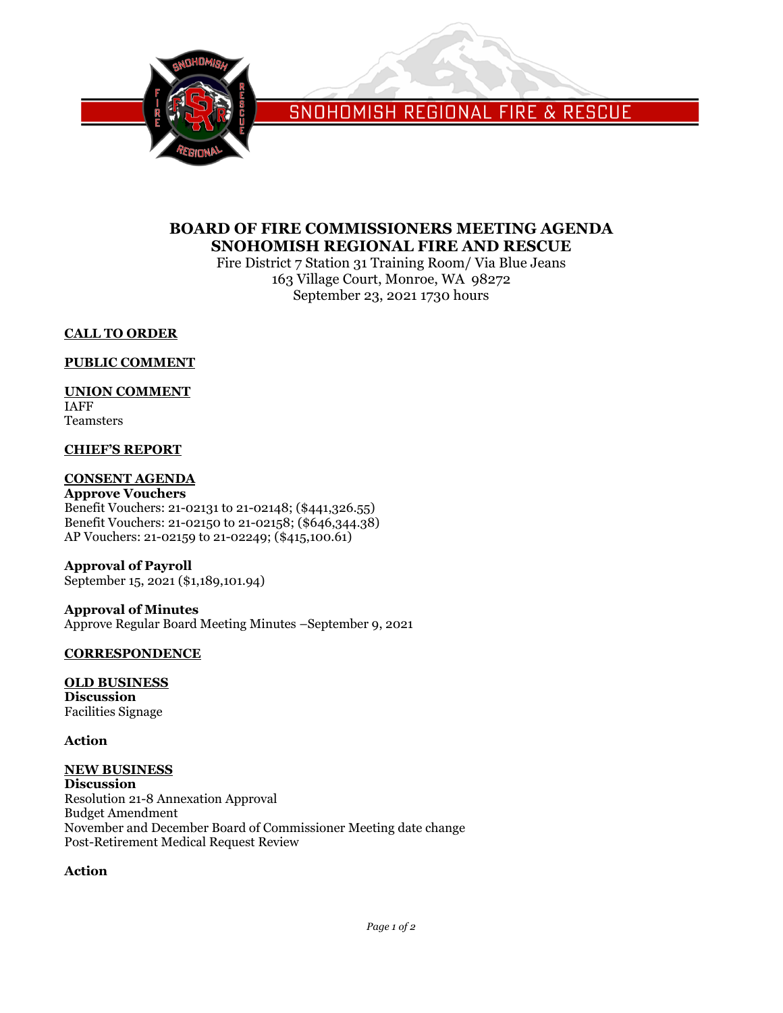

SNOHOMISH REGIONAL FIRE & RESCUE

# **BOARD OF FIRE COMMISSIONERS MEETING AGENDA SNOHOMISH REGIONAL FIRE AND RESCUE**

Fire District 7 Station 31 Training Room/ Via Blue Jeans 163 Village Court, Monroe, WA 98272 September 23, 2021 1730 hours

# **CALL TO ORDER**

# **PUBLIC COMMENT**

# **UNION COMMENT**

IAFF Teamsters

# **CHIEF'S REPORT**

# **CONSENT AGENDA**

**Approve Vouchers** Benefit Vouchers: 21-02131 to 21-02148; (\$441,326.55) Benefit Vouchers: 21-02150 to 21-02158; (\$646,344.38) AP Vouchers: 21-02159 to 21-02249; (\$415,100.61)

## **Approval of Payroll** September 15, 2021 (\$1,189,101.94)

**Approval of Minutes** Approve Regular Board Meeting Minutes –September 9, 2021

# **CORRESPONDENCE**

## **OLD BUSINESS Discussion**

Facilities Signage

# **Action**

#### **NEW BUSINESS Discussion**

Resolution 21-8 Annexation Approval Budget Amendment November and December Board of Commissioner Meeting date change Post-Retirement Medical Request Review

# **Action**